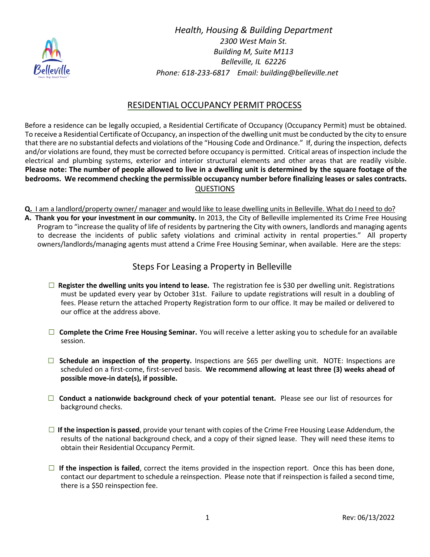

*Health, Housing & Building Department 2300 West Main St. Building M, Suite M113 Belleville, IL 62226 Phone: 618-233-6817 Email: building@belleville.net*

## RESIDENTIAL OCCUPANCY PERMIT PROCESS

Before a residence can be legally occupied, a Residential Certificate of Occupancy (Occupancy Permit) must be obtained. To receive a Residential Certificate of Occupancy, an inspection of the dwelling unit must be conducted by the city to ensure that there are no substantial defects and violations of the "Housing Code and Ordinance." If, during the inspection, defects and/or violations are found, they must be corrected before occupancy is permitted. Critical areas of inspection include the electrical and plumbing systems, exterior and interior structural elements and other areas that are readily visible. Please note: The number of people allowed to live in a dwelling unit is determined by the square footage of the **bedrooms. We recommend checking the permissible occupancy number before finalizing leases or sales contracts.** QUESTIONS

Q. I am a landlord/property owner/ manager and would like to lease dwelling units in Belleville. What do I need to do? **A. Thank you for your investment in our community.** In 2013, the City of Belleville implemented its Crime Free Housing Program to "increase the quality of life of residents by partnering the City with owners, landlords and managing agents to decrease the incidents of public safety violations and criminal activity in rental properties." All property owners/landlords/managing agents must attend a Crime Free Housing Seminar, when available. Here are the steps:

## Steps For Leasing a Property in Belleville

- **□ Register the dwelling units you intend to lease.** The registration fee is \$30 per dwelling unit. Registrations must be updated every year by October 31st. Failure to update registrations will result in a doubling of fees. Please return the attached Property Registration form to our office. It may be mailed or delivered to our office at the address above.
- **□ Complete the Crime Free Housing Seminar.** You will receive a letter asking you to schedule for an available session.
- **□ Schedule an inspection of the property.** Inspections are \$65 per dwelling unit. NOTE: Inspections are scheduled on a first-come, first-served basis. **We recommend allowing at least three (3) weeks ahead of possible move-in date(s), if possible.**
- **□ Conduct a nationwide background check of your potential tenant.** Please see our list of resources for background checks.
- **□ If the inspection is passed**, provide your tenant with copies of the Crime Free Housing Lease Addendum, the results of the national background check, and a copy of their signed lease. They will need these items to obtain their Residential Occupancy Permit.
- **□ If the inspection is failed**, correct the items provided in the inspection report. Once this has been done, contact our department to schedule a reinspection. Please note that if reinspection is failed a second time, there is a \$50 reinspection fee.